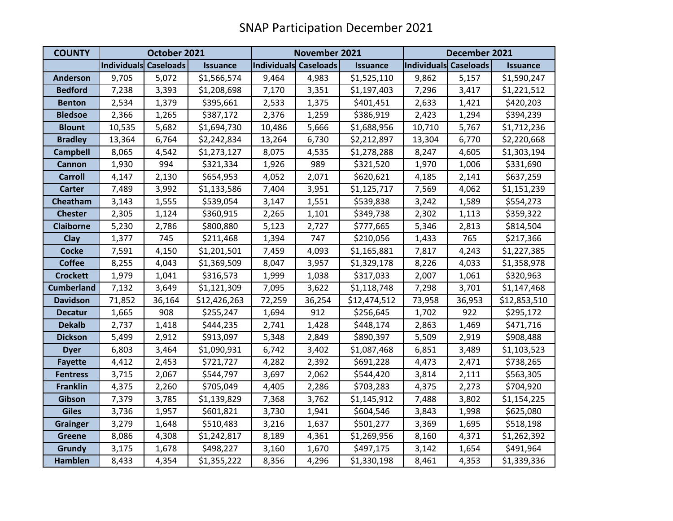| <b>COUNTY</b>     | October 2021          |        |                 | November 2021         |        |                 | December 2021         |        |                 |
|-------------------|-----------------------|--------|-----------------|-----------------------|--------|-----------------|-----------------------|--------|-----------------|
|                   | Individuals Caseloads |        | <b>Issuance</b> | Individuals Caseloads |        | <b>Issuance</b> | Individuals Caseloads |        | <b>Issuance</b> |
| <b>Anderson</b>   | 9,705                 | 5,072  | \$1,566,574     | 9,464                 | 4,983  | \$1,525,110     | 9,862                 | 5,157  | \$1,590,247     |
| <b>Bedford</b>    | 7,238                 | 3,393  | \$1,208,698     | 7,170                 | 3,351  | \$1,197,403     | 7,296                 | 3,417  | \$1,221,512     |
| <b>Benton</b>     | 2,534                 | 1,379  | \$395,661       | 2,533                 | 1,375  | \$401,451       | 2,633                 | 1,421  | \$420,203       |
| <b>Bledsoe</b>    | 2,366                 | 1,265  | \$387,172       | 2,376                 | 1,259  | \$386,919       | 2,423                 | 1,294  | \$394,239       |
| <b>Blount</b>     | 10,535                | 5,682  | \$1,694,730     | 10,486                | 5,666  | \$1,688,956     | 10,710                | 5,767  | \$1,712,236     |
| <b>Bradley</b>    | 13,364                | 6,764  | \$2,242,834     | 13,264                | 6,730  | \$2,212,897     | 13,304                | 6,770  | \$2,220,668     |
| <b>Campbell</b>   | 8,065                 | 4,542  | \$1,273,127     | 8,075                 | 4,535  | \$1,278,288     | 8,247                 | 4,605  | \$1,303,194     |
| <b>Cannon</b>     | 1,930                 | 994    | \$321,334       | 1,926                 | 989    | \$321,520       | 1,970                 | 1,006  | \$331,690       |
| <b>Carroll</b>    | 4,147                 | 2,130  | \$654,953       | 4,052                 | 2,071  | \$620,621       | 4,185                 | 2,141  | \$637,259       |
| <b>Carter</b>     | 7,489                 | 3,992  | \$1,133,586     | 7,404                 | 3,951  | \$1,125,717     | 7,569                 | 4,062  | \$1,151,239     |
| Cheatham          | 3,143                 | 1,555  | \$539,054       | 3,147                 | 1,551  | \$539,838       | 3,242                 | 1,589  | \$554,273       |
| <b>Chester</b>    | 2,305                 | 1,124  | \$360,915       | 2,265                 | 1,101  | \$349,738       | 2,302                 | 1,113  | \$359,322       |
| <b>Claiborne</b>  | 5,230                 | 2,786  | \$800,880       | 5,123                 | 2,727  | \$777,665       | 5,346                 | 2,813  | \$814,504       |
| <b>Clay</b>       | 1,377                 | 745    | \$211,468       | 1,394                 | 747    | \$210,056       | 1,433                 | 765    | \$217,366       |
| <b>Cocke</b>      | 7,591                 | 4,150  | \$1,201,501     | 7,459                 | 4,093  | \$1,165,881     | 7,817                 | 4,243  | \$1,227,385     |
| <b>Coffee</b>     | 8,255                 | 4,043  | \$1,369,509     | 8,047                 | 3,957  | \$1,329,178     | 8,226                 | 4,033  | \$1,358,978     |
| <b>Crockett</b>   | 1,979                 | 1,041  | \$316,573       | 1,999                 | 1,038  | \$317,033       | 2,007                 | 1,061  | \$320,963       |
| <b>Cumberland</b> | 7,132                 | 3,649  | \$1,121,309     | 7,095                 | 3,622  | \$1,118,748     | 7,298                 | 3,701  | \$1,147,468     |
| <b>Davidson</b>   | 71,852                | 36,164 | \$12,426,263    | 72,259                | 36,254 | \$12,474,512    | 73,958                | 36,953 | \$12,853,510    |
| <b>Decatur</b>    | 1,665                 | 908    | \$255,247       | 1,694                 | 912    | \$256,645       | 1,702                 | 922    | \$295,172       |
| <b>Dekalb</b>     | 2,737                 | 1,418  | \$444,235       | 2,741                 | 1,428  | \$448,174       | 2,863                 | 1,469  | \$471,716       |
| <b>Dickson</b>    | 5,499                 | 2,912  | \$913,097       | 5,348                 | 2,849  | \$890,397       | 5,509                 | 2,919  | \$908,488       |
| <b>Dyer</b>       | 6,803                 | 3,464  | \$1,090,931     | 6,742                 | 3,402  | \$1,087,468     | 6,851                 | 3,489  | \$1,103,523     |
| <b>Fayette</b>    | 4,412                 | 2,453  | \$721,727       | 4,282                 | 2,392  | \$691,228       | 4,473                 | 2,471  | \$738,265       |
| <b>Fentress</b>   | 3,715                 | 2,067  | \$544,797       | 3,697                 | 2,062  | \$544,420       | 3,814                 | 2,111  | \$563,305       |
| <b>Franklin</b>   | 4,375                 | 2,260  | \$705,049       | 4,405                 | 2,286  | \$703,283       | 4,375                 | 2,273  | \$704,920       |
| Gibson            | 7,379                 | 3,785  | \$1,139,829     | 7,368                 | 3,762  | \$1,145,912     | 7,488                 | 3,802  | \$1,154,225     |
| <b>Giles</b>      | 3,736                 | 1,957  | \$601,821       | 3,730                 | 1,941  | \$604,546       | 3,843                 | 1,998  | \$625,080       |
| <b>Grainger</b>   | 3,279                 | 1,648  | \$510,483       | 3,216                 | 1,637  | \$501,277       | 3,369                 | 1,695  | \$518,198       |
| <b>Greene</b>     | 8,086                 | 4,308  | \$1,242,817     | 8,189                 | 4,361  | \$1,269,956     | 8,160                 | 4,371  | \$1,262,392     |
| <b>Grundy</b>     | 3,175                 | 1,678  | \$498,227       | 3,160                 | 1,670  | \$497,175       | 3,142                 | 1,654  | \$491,964       |
| <b>Hamblen</b>    | 8,433                 | 4,354  | \$1,355,222     | 8,356                 | 4,296  | \$1,330,198     | 8,461                 | 4,353  | \$1,339,336     |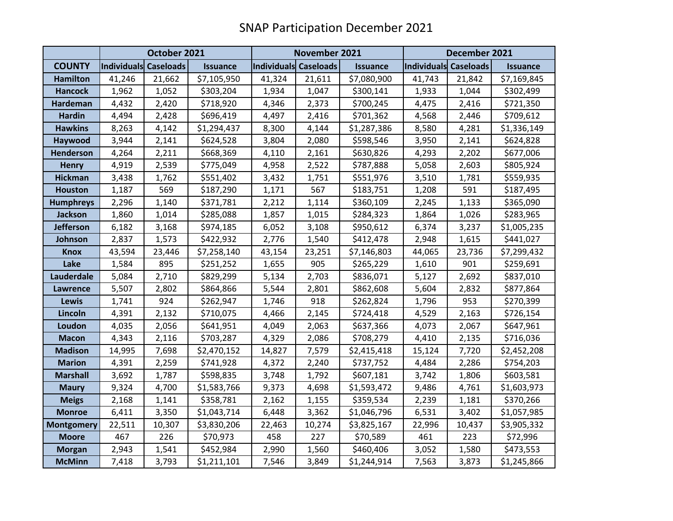|                   | October 2021          |        |                 | November 2021                |        |                 | December 2021         |        |                 |
|-------------------|-----------------------|--------|-----------------|------------------------------|--------|-----------------|-----------------------|--------|-----------------|
| <b>COUNTY</b>     | Individuals Caseloads |        | <b>Issuance</b> | <b>Individuals Caseloads</b> |        | <b>Issuance</b> | Individuals Caseloads |        | <b>Issuance</b> |
| <b>Hamilton</b>   | 41,246                | 21,662 | \$7,105,950     | 41,324                       | 21,611 | \$7,080,900     | 41,743                | 21,842 | \$7,169,845     |
| <b>Hancock</b>    | 1,962                 | 1,052  | \$303,204       | 1,934                        | 1,047  | \$300,141       | 1,933                 | 1,044  | \$302,499       |
| <b>Hardeman</b>   | 4,432                 | 2,420  | \$718,920       | 4,346                        | 2,373  | \$700,245       | 4,475                 | 2,416  | \$721,350       |
| <b>Hardin</b>     | 4,494                 | 2,428  | \$696,419       | 4,497                        | 2,416  | \$701,362       | 4,568                 | 2,446  | \$709,612       |
| <b>Hawkins</b>    | 8,263                 | 4,142  | \$1,294,437     | 8,300                        | 4,144  | \$1,287,386     | 8,580                 | 4,281  | \$1,336,149     |
| Haywood           | 3,944                 | 2,141  | \$624,528       | 3,804                        | 2,080  | \$598,546       | 3,950                 | 2,141  | \$624,828       |
| <b>Henderson</b>  | 4,264                 | 2,211  | \$668,369       | 4,110                        | 2,161  | \$630,826       | 4,293                 | 2,202  | \$677,006       |
| <b>Henry</b>      | 4,919                 | 2,539  | \$775,049       | 4,958                        | 2,522  | \$787,888       | 5,058                 | 2,603  | \$805,924       |
| <b>Hickman</b>    | 3,438                 | 1,762  | \$551,402       | 3,432                        | 1,751  | \$551,976       | 3,510                 | 1,781  | \$559,935       |
| <b>Houston</b>    | 1,187                 | 569    | \$187,290       | 1,171                        | 567    | \$183,751       | 1,208                 | 591    | \$187,495       |
| <b>Humphreys</b>  | 2,296                 | 1,140  | \$371,781       | 2,212                        | 1,114  | \$360,109       | 2,245                 | 1,133  | \$365,090       |
| <b>Jackson</b>    | 1,860                 | 1,014  | \$285,088       | 1,857                        | 1,015  | \$284,323       | 1,864                 | 1,026  | \$283,965       |
| <b>Jefferson</b>  | 6,182                 | 3,168  | \$974,185       | 6,052                        | 3,108  | \$950,612       | 6,374                 | 3,237  | \$1,005,235     |
| Johnson           | 2,837                 | 1,573  | \$422,932       | 2,776                        | 1,540  | \$412,478       | 2,948                 | 1,615  | \$441,027       |
| <b>Knox</b>       | 43,594                | 23,446 | \$7,258,140     | 43,154                       | 23,251 | \$7,146,803     | 44,065                | 23,736 | \$7,299,432     |
| Lake              | 1,584                 | 895    | \$251,252       | 1,655                        | 905    | \$265,229       | 1,610                 | 901    | \$259,691       |
| Lauderdale        | 5,084                 | 2,710  | \$829,299       | 5,134                        | 2,703  | \$836,071       | 5,127                 | 2,692  | \$837,010       |
| <b>Lawrence</b>   | 5,507                 | 2,802  | \$864,866       | 5,544                        | 2,801  | \$862,608       | 5,604                 | 2,832  | \$877,864       |
| Lewis             | 1,741                 | 924    | \$262,947       | 1,746                        | 918    | \$262,824       | 1,796                 | 953    | \$270,399       |
| Lincoln           | 4,391                 | 2,132  | \$710,075       | 4,466                        | 2,145  | \$724,418       | 4,529                 | 2,163  | \$726,154       |
| Loudon            | 4,035                 | 2,056  | \$641,951       | 4,049                        | 2,063  | \$637,366       | 4,073                 | 2,067  | \$647,961       |
| <b>Macon</b>      | 4,343                 | 2,116  | \$703,287       | 4,329                        | 2,086  | \$708,279       | 4,410                 | 2,135  | \$716,036       |
| <b>Madison</b>    | 14,995                | 7,698  | \$2,470,152     | 14,827                       | 7,579  | \$2,415,418     | 15,124                | 7,720  | \$2,452,208     |
| <b>Marion</b>     | 4,391                 | 2,259  | \$741,928       | 4,372                        | 2,240  | \$737,752       | 4,484                 | 2,286  | \$754,203       |
| <b>Marshall</b>   | 3,692                 | 1,787  | \$598,835       | 3,748                        | 1,792  | \$607,181       | 3,742                 | 1,806  | \$603,581       |
| <b>Maury</b>      | 9,324                 | 4,700  | \$1,583,766     | 9,373                        | 4,698  | \$1,593,472     | 9,486                 | 4,761  | \$1,603,973     |
| <b>Meigs</b>      | 2,168                 | 1,141  | \$358,781       | 2,162                        | 1,155  | \$359,534       | 2,239                 | 1,181  | \$370,266       |
| <b>Monroe</b>     | 6,411                 | 3,350  | \$1,043,714     | 6,448                        | 3,362  | \$1,046,796     | 6,531                 | 3,402  | \$1,057,985     |
| <b>Montgomery</b> | 22,511                | 10,307 | \$3,830,206     | 22,463                       | 10,274 | \$3,825,167     | 22,996                | 10,437 | \$3,905,332     |
| <b>Moore</b>      | 467                   | 226    | \$70,973        | 458                          | 227    | \$70,589        | 461                   | 223    | \$72,996        |
| <b>Morgan</b>     | 2,943                 | 1,541  | \$452,984       | 2,990                        | 1,560  | \$460,406       | 3,052                 | 1,580  | \$473,553       |
| <b>McMinn</b>     | 7,418                 | 3,793  | \$1,211,101     | 7,546                        | 3,849  | \$1,244,914     | 7,563                 | 3,873  | \$1,245,866     |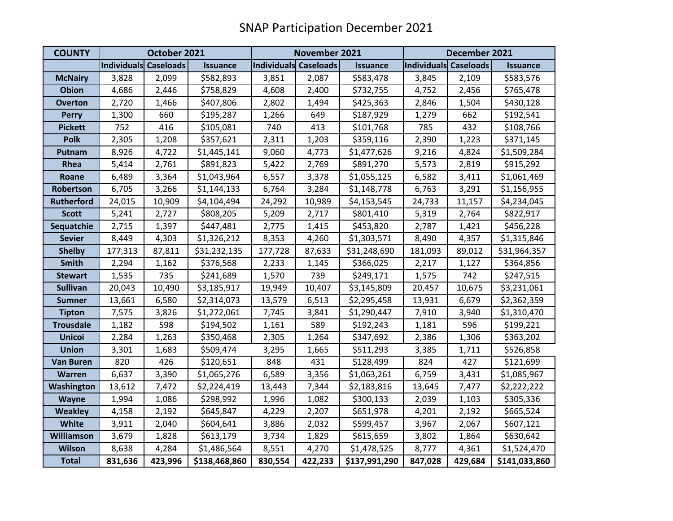| <b>COUNTY</b>     | October 2021          |         |                 | November 2021         |         |                 | December 2021         |         |                 |
|-------------------|-----------------------|---------|-----------------|-----------------------|---------|-----------------|-----------------------|---------|-----------------|
|                   | Individuals Caseloads |         | <b>Issuance</b> | Individuals Caseloads |         | <b>Issuance</b> | Individuals Caseloads |         | <b>Issuance</b> |
| <b>McNairy</b>    | 3,828                 | 2,099   | \$582,893       | 3,851                 | 2,087   | \$583,478       | 3,845                 | 2,109   | \$583,576       |
| <b>Obion</b>      | 4,686                 | 2,446   | \$758,829       | 4,608                 | 2,400   | \$732,755       | 4,752                 | 2,456   | \$765,478       |
| <b>Overton</b>    | 2,720                 | 1,466   | \$407,806       | 2,802                 | 1,494   | \$425,363       | 2,846                 | 1,504   | \$430,128       |
| <b>Perry</b>      | 1,300                 | 660     | \$195,287       | 1,266                 | 649     | \$187,929       | 1,279                 | 662     | \$192,541       |
| <b>Pickett</b>    | 752                   | 416     | \$105,081       | 740                   | 413     | \$101,768       | 785                   | 432     | \$108,766       |
| <b>Polk</b>       | 2,305                 | 1,208   | \$357,621       | 2,311                 | 1,203   | \$359,116       | 2,390                 | 1,223   | \$371,145       |
| Putnam            | 8,926                 | 4,722   | \$1,445,141     | 9,060                 | 4,773   | \$1,477,626     | 9,216                 | 4,824   | \$1,509,284     |
| Rhea              | 5,414                 | 2,761   | \$891,823       | 5,422                 | 2,769   | \$891,270       | 5,573                 | 2,819   | \$915,292       |
| Roane             | 6,489                 | 3,364   | \$1,043,964     | 6,557                 | 3,378   | \$1,055,125     | 6,582                 | 3,411   | \$1,061,469     |
| Robertson         | 6,705                 | 3,266   | \$1,144,133     | 6,764                 | 3,284   | \$1,148,778     | 6,763                 | 3,291   | \$1,156,955     |
| <b>Rutherford</b> | 24,015                | 10,909  | \$4,104,494     | 24,292                | 10,989  | \$4,153,545     | 24,733                | 11,157  | \$4,234,045     |
| <b>Scott</b>      | 5,241                 | 2,727   | \$808,205       | 5,209                 | 2,717   | \$801,410       | 5,319                 | 2,764   | \$822,917       |
| Sequatchie        | 2,715                 | 1,397   | \$447,481       | 2,775                 | 1,415   | \$453,820       | 2,787                 | 1,421   | \$456,228       |
| <b>Sevier</b>     | 8,449                 | 4,303   | \$1,326,212     | 8,353                 | 4,260   | \$1,303,571     | 8,490                 | 4,357   | \$1,315,846     |
| <b>Shelby</b>     | 177,313               | 87,811  | \$31,232,135    | 177,728               | 87,633  | \$31,248,690    | 181,093               | 89,012  | \$31,964,357    |
| <b>Smith</b>      | 2,294                 | 1,162   | \$376,568       | 2,233                 | 1,145   | \$366,025       | 2,217                 | 1,127   | \$364,856       |
| <b>Stewart</b>    | 1,535                 | 735     | \$241,689       | 1,570                 | 739     | \$249,171       | 1,575                 | 742     | \$247,515       |
| <b>Sullivan</b>   | 20,043                | 10,490  | \$3,185,917     | 19,949                | 10,407  | \$3,145,809     | 20,457                | 10,675  | \$3,231,061     |
| Sumner            | 13,661                | 6,580   | \$2,314,073     | 13,579                | 6,513   | \$2,295,458     | 13,931                | 6,679   | \$2,362,359     |
| <b>Tipton</b>     | 7,575                 | 3,826   | \$1,272,061     | 7,745                 | 3,841   | \$1,290,447     | 7,910                 | 3,940   | \$1,310,470     |
| <b>Trousdale</b>  | 1,182                 | 598     | \$194,502       | 1,161                 | 589     | \$192,243       | 1,181                 | 596     | \$199,221       |
| <b>Unicoi</b>     | 2,284                 | 1,263   | \$350,468       | 2,305                 | 1,264   | \$347,692       | 2,386                 | 1,306   | \$363,202       |
| <b>Union</b>      | 3,301                 | 1,683   | \$509,474       | 3,295                 | 1,665   | \$511,293       | 3,385                 | 1,711   | \$526,858       |
| <b>Van Buren</b>  | 820                   | 426     | \$120,651       | 848                   | 431     | \$128,499       | 824                   | 427     | \$121,699       |
| Warren            | 6,637                 | 3,390   | \$1,065,276     | 6,589                 | 3,356   | \$1,063,261     | 6,759                 | 3,431   | \$1,085,967     |
| Washington        | 13,612                | 7,472   | \$2,224,419     | 13,443                | 7,344   | \$2,183,816     | 13,645                | 7,477   | \$2,222,222     |
| <b>Wayne</b>      | 1,994                 | 1,086   | \$298,992       | 1,996                 | 1,082   | \$300,133       | 2,039                 | 1,103   | \$305,336       |
| <b>Weakley</b>    | 4,158                 | 2,192   | \$645,847       | 4,229                 | 2,207   | \$651,978       | 4,201                 | 2,192   | \$665,524       |
| <b>White</b>      | 3,911                 | 2,040   | \$604,641       | 3,886                 | 2,032   | \$599,457       | 3,967                 | 2,067   | \$607,121       |
| <b>Williamson</b> | 3,679                 | 1,828   | \$613,179       | 3,734                 | 1,829   | \$615,659       | 3,802                 | 1,864   | \$630,642       |
| <b>Wilson</b>     | 8,638                 | 4,284   | \$1,486,564     | 8,551                 | 4,270   | \$1,478,525     | 8,777                 | 4,361   | \$1,524,470     |
| <b>Total</b>      | 831,636               | 423,996 | \$138,468,860   | 830,554               | 422,233 | \$137,991,290   | 847,028               | 429,684 | \$141,033,860   |